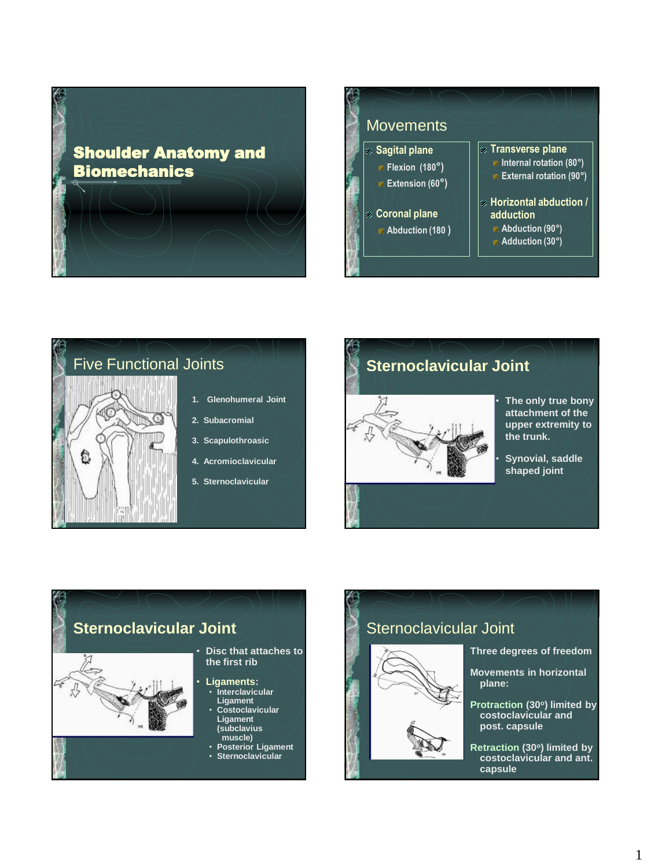Shoulder Anatomy and **Biomechanics** 









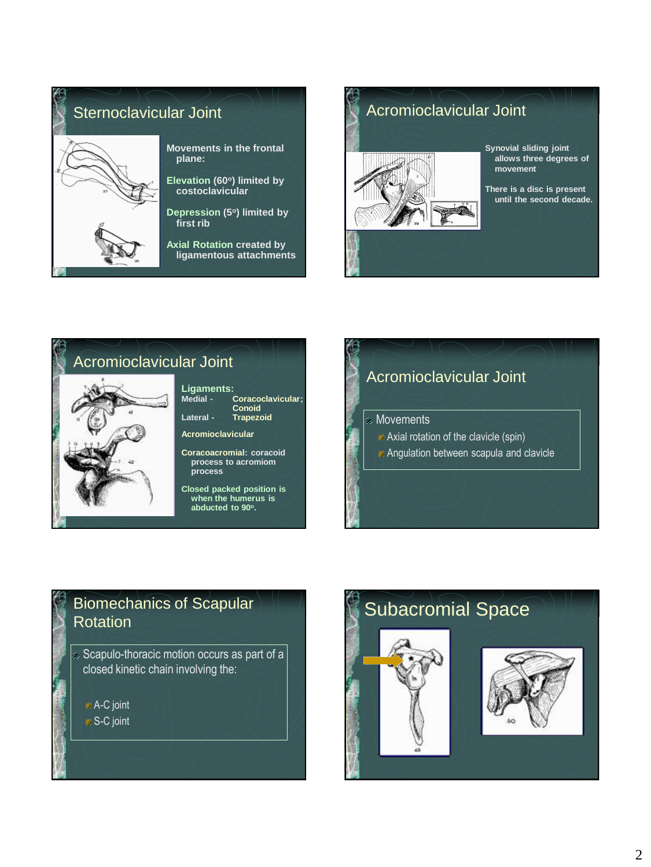







## Biomechanics of Scapular **Rotation**

Scapulo-thoracic motion occurs as part of a closed kinetic chain involving the:

A-C joint S-C joint

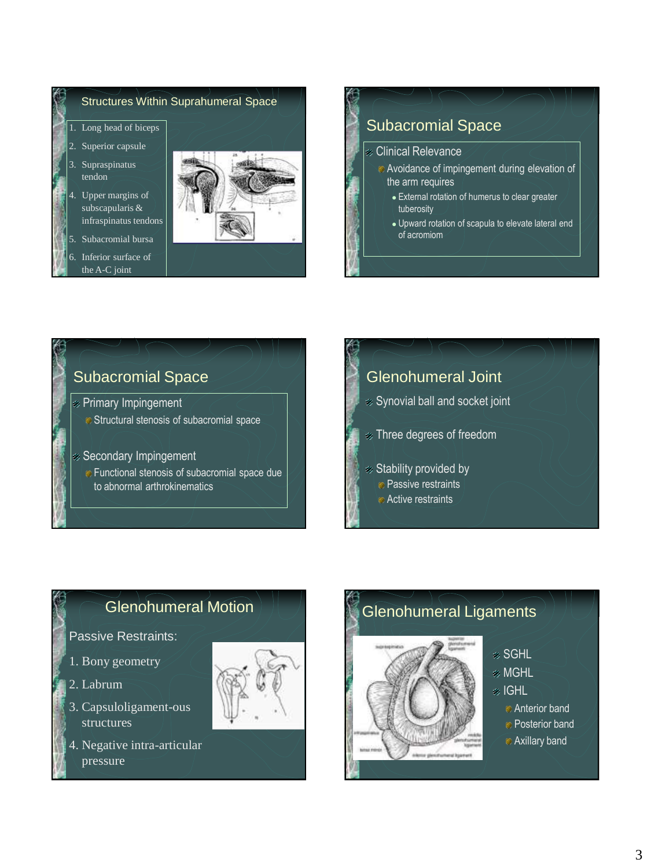

### Subacromial Space Clinical Relevance Avoidance of impingement during elevation of the arm requires External rotation of humerus to clear greater tuberosity Upward rotation of scapula to elevate lateral end of acromiom

#### Subacromial Space

- Primary Impingement
	- **Structural stenosis of subacromial space**
- Secondary Impingement
	- Functional stenosis of subacromial space due to abnormal arthrokinematics

# Glenohumeral Joint Synovial ball and socket joint Three degrees of freedom Stability provided by **Passive restraints Active restraints**

### Glenohumeral Motion

#### Passive Restraints:

- 1. Bony geometry
- 2. Labrum
- 3. Capsuloligament-ous structures
- 4. Negative intra-articular pressure



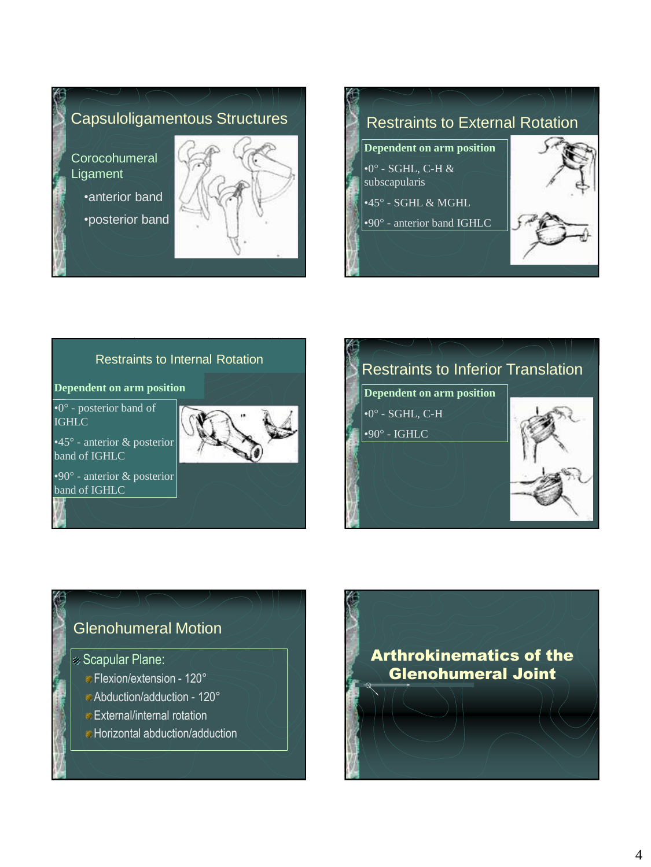

#### Restraints to Internal Rotation

#### **Dependent on arm position**

•0° - posterior band of **IGHLC** 

•45° - anterior & posterior band of IGHLC

•90° - anterior & posterior band of IGHLC





Arthrokinematics of the Glenohumeral Joint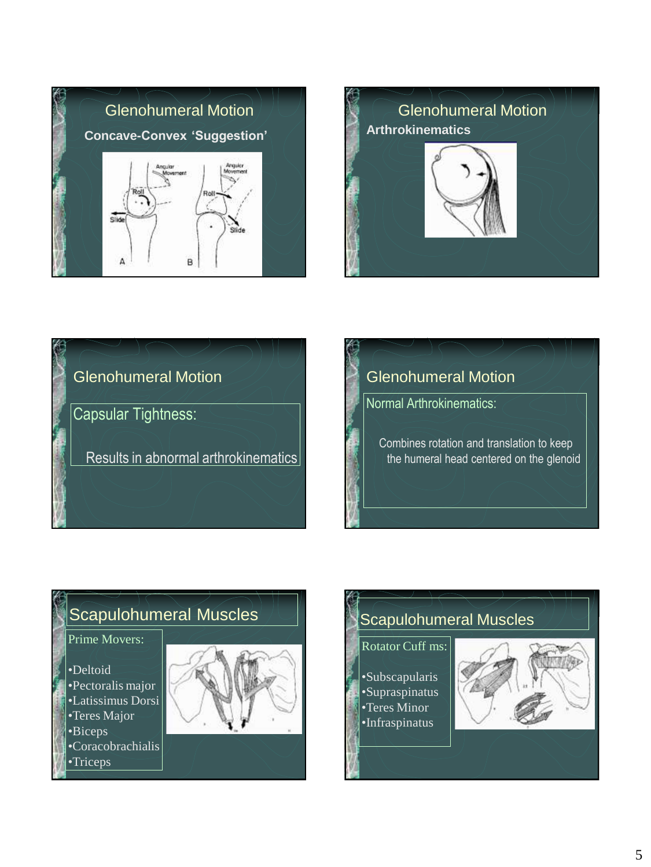







#### Scapulohumeral Muscles Prime Movers: •Deltoid •Pectoralis major •Latissimus Dorsi •Teres Major •Biceps •Coracobrachialis •Triceps

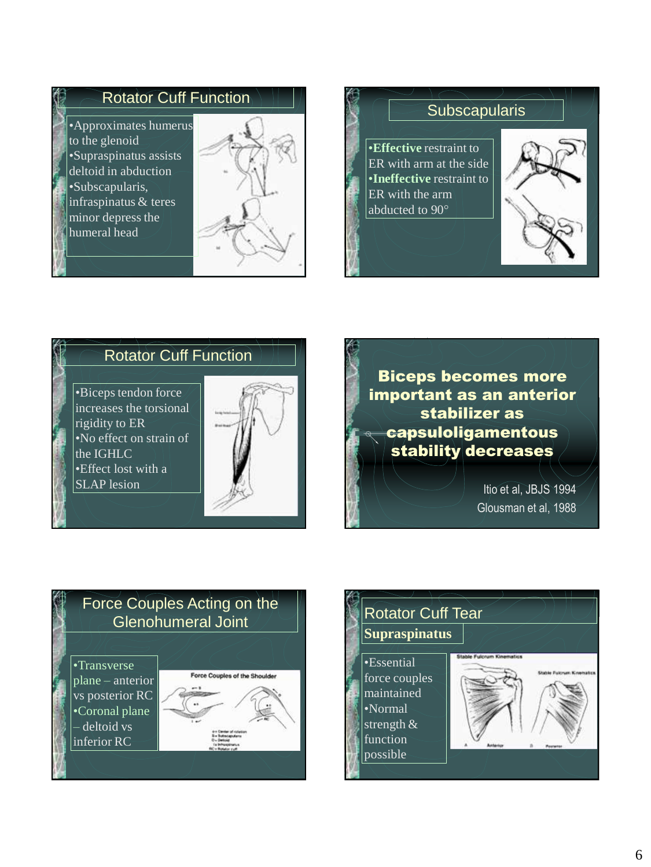#### Rotator Cuff Function

•Approximates humerus to the glenoid •Supraspinatus assists deltoid in abduction •Subscapularis, infraspinatus & teres minor depress the humeral head





#### Rotator Cuff Function

•Biceps tendon force increases the torsional rigidity to ER •No effect on strain of the IGHLC •Effect lost with a SLAP lesion





Glousman et al, 1988



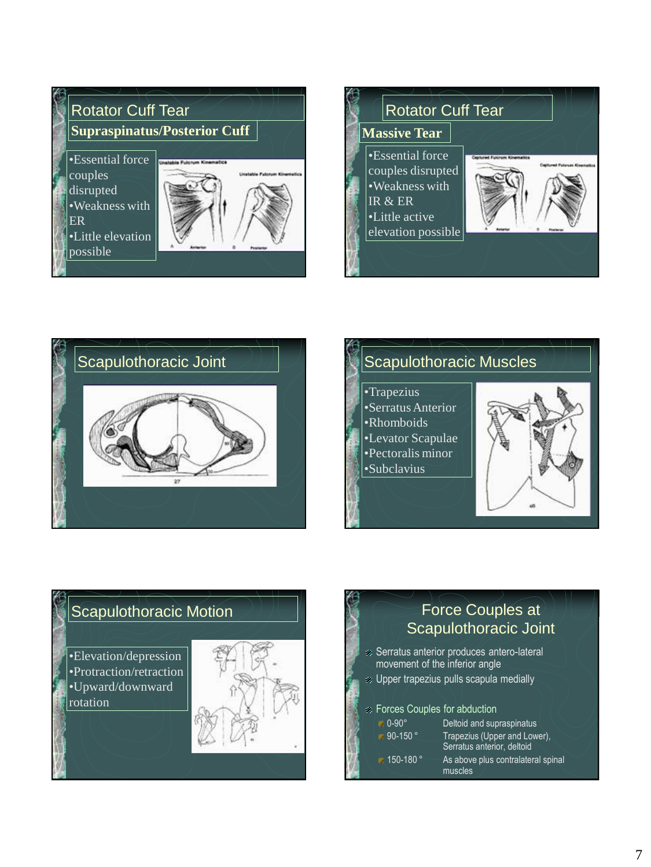





•Trapezius •Serratus Anterior •Rhomboids •Levator Scapulae •Pectoralis minor •Subclavius



#### Scapulothoracic Motion

•Elevation/depression •Protraction/retraction •Upward/downward rotation